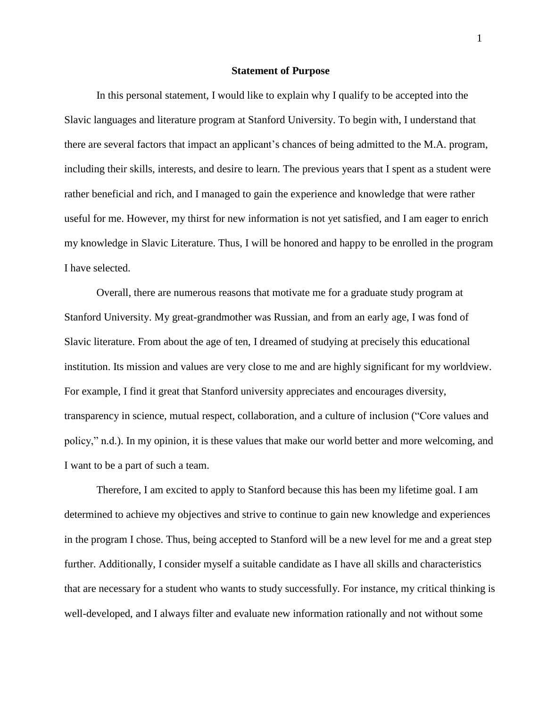## **Statement of Purpose**

In this personal statement, I would like to explain why I qualify to be accepted into the Slavic languages and literature program at Stanford University. To begin with, I understand that there are several factors that impact an applicant's chances of being admitted to the M.A. program, including their skills, interests, and desire to learn. The previous years that I spent as a student were rather beneficial and rich, and I managed to gain the experience and knowledge that were rather useful for me. However, my thirst for new information is not yet satisfied, and I am eager to enrich my knowledge in Slavic Literature. Thus, I will be honored and happy to be enrolled in the program I have selected.

Overall, there are numerous reasons that motivate me for a graduate study program at Stanford University. My great-grandmother was Russian, and from an early age, I was fond of Slavic literature. From about the age of ten, I dreamed of studying at precisely this educational institution. Its mission and values are very close to me and are highly significant for my worldview. For example, I find it great that Stanford university appreciates and encourages diversity, transparency in science, mutual respect, collaboration, and a culture of inclusion ("Core values and policy," n.d.). In my opinion, it is these values that make our world better and more welcoming, and I want to be a part of such a team.

Therefore, I am excited to apply to Stanford because this has been my lifetime goal. I am determined to achieve my objectives and strive to continue to gain new knowledge and experiences in the program I chose. Thus, being accepted to Stanford will be a new level for me and a great step further. Additionally, I consider myself a suitable candidate as I have all skills and characteristics that are necessary for a student who wants to study successfully. For instance, my critical thinking is well-developed, and I always filter and evaluate new information rationally and not without some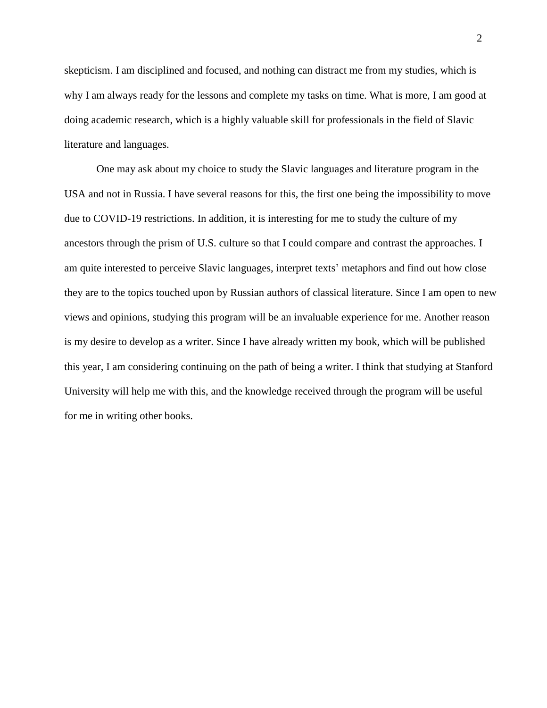skepticism. I am disciplined and focused, and nothing can distract me from my studies, which is why I am always ready for the lessons and complete my tasks on time. What is more, I am good at doing academic research, which is a highly valuable skill for professionals in the field of Slavic literature and languages.

One may ask about my choice to study the Slavic languages and literature program in the USA and not in Russia. I have several reasons for this, the first one being the impossibility to move due to COVID-19 restrictions. In addition, it is interesting for me to study the culture of my ancestors through the prism of U.S. culture so that I could compare and contrast the approaches. I am quite interested to perceive Slavic languages, interpret texts' metaphors and find out how close they are to the topics touched upon by Russian authors of classical literature. Since I am open to new views and opinions, studying this program will be an invaluable experience for me. Another reason is my desire to develop as a writer. Since I have already written my book, which will be published this year, I am considering continuing on the path of being a writer. I think that studying at Stanford University will help me with this, and the knowledge received through the program will be useful for me in writing other books.